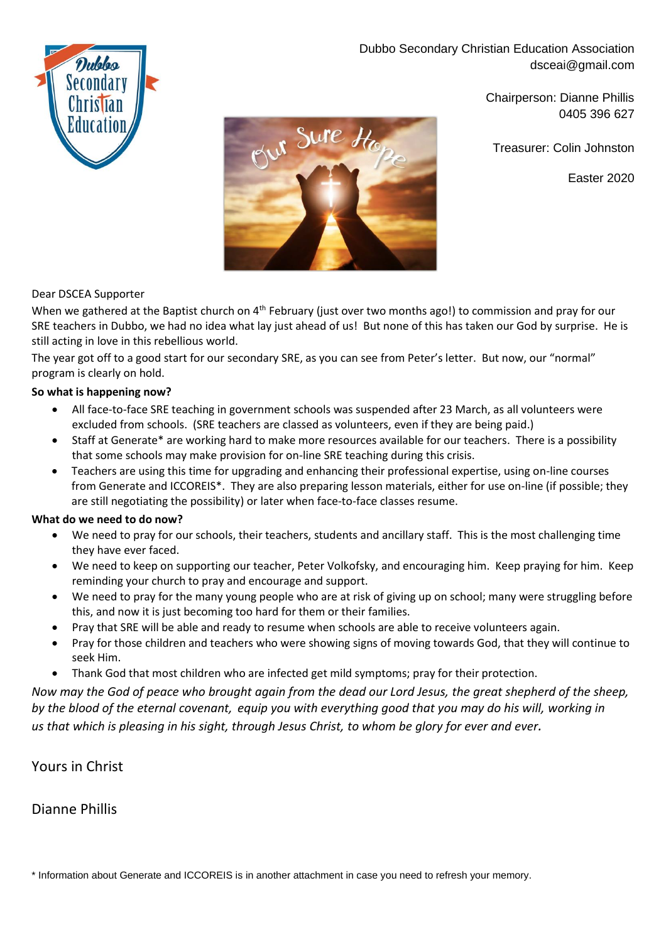Dubbo Secondary Christian Education Association dsceai@gmail.com



Chairperson: Dianne Phillis 0405 396 627

Treasurer: Colin Johnston

Easter 2020



### Dear DSCEA Supporter

When we gathered at the Baptist church on 4<sup>th</sup> February (just over two months ago!) to commission and pray for our SRE teachers in Dubbo, we had no idea what lay just ahead of us! But none of this has taken our God by surprise. He is still acting in love in this rebellious world.

The year got off to a good start for our secondary SRE, as you can see from Peter's letter. But now, our "normal" program is clearly on hold.

### **So what is happening now?**

- All face-to-face SRE teaching in government schools was suspended after 23 March, as all volunteers were excluded from schools. (SRE teachers are classed as volunteers, even if they are being paid.)
- Staff at Generate\* are working hard to make more resources available for our teachers. There is a possibility that some schools may make provision for on-line SRE teaching during this crisis.
- Teachers are using this time for upgrading and enhancing their professional expertise, using on-line courses from Generate and ICCOREIS\*. They are also preparing lesson materials, either for use on-line (if possible; they are still negotiating the possibility) or later when face-to-face classes resume.

### **What do we need to do now?**

- We need to pray for our schools, their teachers, students and ancillary staff. This is the most challenging time they have ever faced.
- We need to keep on supporting our teacher, Peter Volkofsky, and encouraging him. Keep praying for him. Keep reminding your church to pray and encourage and support.
- We need to pray for the many young people who are at risk of giving up on school; many were struggling before this, and now it is just becoming too hard for them or their families.
- Pray that SRE will be able and ready to resume when schools are able to receive volunteers again.
- Pray for those children and teachers who were showing signs of moving towards God, that they will continue to seek Him.
- Thank God that most children who are infected get mild symptoms; pray for their protection.

*Now may the God of peace who brought again from the dead our Lord Jesus, the great shepherd of the sheep, by the blood of the eternal covenant, equip you with everything good that you may do his will, working in us that which is pleasing in his sight, through Jesus Christ, to whom be glory for ever and ever.*

Yours in Christ

Dianne Phillis

\* Information about Generate and ICCOREIS is in another attachment in case you need to refresh your memory.